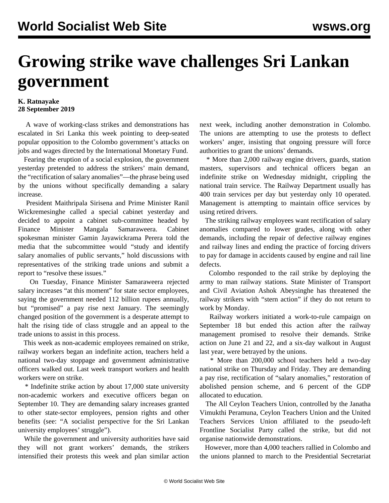## **Growing strike wave challenges Sri Lankan government**

## **K. Ratnayake 28 September 2019**

 A wave of working-class strikes and demonstrations has escalated in Sri Lanka this week pointing to deep-seated popular opposition to the Colombo government's attacks on jobs and wages directed by the International Monetary Fund.

 Fearing the eruption of a social explosion, the government yesterday pretended to address the strikers' main demand, the "rectification of salary anomalies"—the phrase being used by the unions without specifically demanding a salary increase.

 President Maithripala Sirisena and Prime Minister Ranil Wickremesinghe called a special cabinet yesterday and decided to appoint a cabinet sub-committee headed by Finance Minister Mangala Samaraweera. Cabinet spokesman minister Gamin Jayawickrama Perera told the media that the subcommittee would "study and identify salary anomalies of public servants," hold discussions with representatives of the striking trade unions and submit a report to "resolve these issues."

 On Tuesday, Finance Minister Samaraweera rejected salary increases "at this moment" for state sector employees, saying the government needed 112 billion rupees annually, but "promised" a pay rise next January. The seemingly changed position of the government is a desperate attempt to halt the rising tide of class struggle and an appeal to the trade unions to assist in this process.

 This week as non-academic employees remained on strike, railway workers began an indefinite action, teachers held a national two-day stoppage and government administrative officers walked out. Last week transport workers and health workers were on strike.

 \* Indefinite strike action by about 17,000 state university non-academic workers and executive officers began on September 10. They are demanding salary increases granted to other state-sector employees, pension rights and other benefits (see: ["A socialist perspective for the Sri Lankan](/en/articles/2019/09/10/seps-s10.html) [university employees' struggle"](/en/articles/2019/09/10/seps-s10.html)).

 While the government and university authorities have said they will not grant workers' demands, the strikers intensified their protests this week and plan similar action next week, including another demonstration in Colombo. The unions are attempting to use the protests to deflect workers' anger, insisting that ongoing pressure will force authorities to grant the unions' demands.

 \* More than 2,000 railway engine drivers, guards, station masters, supervisors and technical officers began an indefinite strike on Wednesday midnight, crippling the national train service. The Railway Department usually has 400 train services per day but yesterday only 10 operated. Management is attempting to maintain office services by using retired drivers.

 The striking railway employees want rectification of salary anomalies compared to lower grades, along with other demands, including the repair of defective railway engines and railway lines and ending the practice of forcing drivers to pay for damage in accidents caused by engine and rail line defects.

 Colombo responded to the rail strike by deploying the army to man railway stations. State Minister of Transport and Civil Aviation Ashok Abeysinghe has threatened the railway strikers with "stern action" if they do not return to work by Monday.

 Railway workers initiated a work-to-rule campaign on September 18 but ended this action after the railway management promised to resolve their demands. Strike action on June 21 and 22, and a six-day walkout in August last year, were betrayed by the unions.

 \* More than 200,000 school teachers held a two-day national strike on Thursday and Friday. They are demanding a pay rise, rectification of "salary anomalies," restoration of abolished pension scheme, and 6 percent of the GDP allocated to education.

 The All Ceylon Teachers Union, controlled by the Janatha Vimukthi Peramuna, Ceylon Teachers Union and the United Teachers Services Union affiliated to the pseudo-left Frontline Socialist Party called the strike, but did not organise nationwide demonstrations.

 However, more than 4,000 teachers rallied in Colombo and the unions planned to march to the Presidential Secretariat